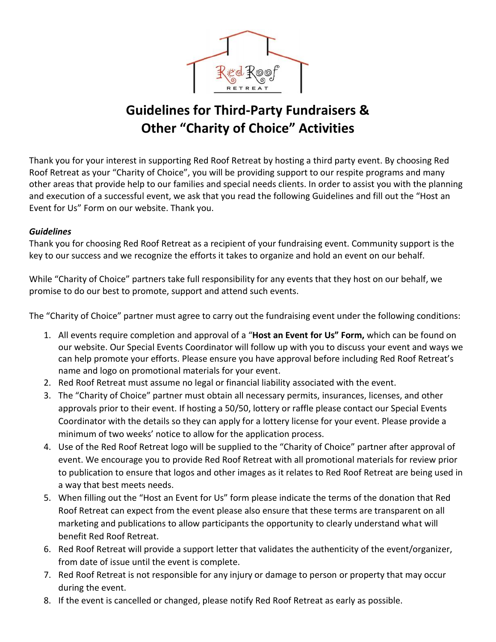

## **Guidelines for Third-Party Fundraisers & Other "Charity of Choice" Activities**

Thank you for your interest in supporting Red Roof Retreat by hosting a third party event. By choosing Red Roof Retreat as your "Charity of Choice", you will be providing support to our respite programs and many other areas that provide help to our families and special needs clients. In order to assist you with the planning and execution of a successful event, we ask that you read the following Guidelines and fill out the "Host an Event for Us" Form on our website. Thank you.

## *Guidelines*

Thank you for choosing Red Roof Retreat as a recipient of your fundraising event. Community support is the key to our success and we recognize the efforts it takes to organize and hold an event on our behalf.

While "Charity of Choice" partners take full responsibility for any events that they host on our behalf, we promise to do our best to promote, support and attend such events.

The "Charity of Choice" partner must agree to carry out the fundraising event under the following conditions:

- 1. All events require completion and approval of a "**Host an Event for Us" Form,** which can be found on our website. Our Special Events Coordinator will follow up with you to discuss your event and ways we can help promote your efforts. Please ensure you have approval before including Red Roof Retreat's name and logo on promotional materials for your event.
- 2. Red Roof Retreat must assume no legal or financial liability associated with the event.
- 3. The "Charity of Choice" partner must obtain all necessary permits, insurances, licenses, and other approvals prior to their event. If hosting a 50/50, lottery or raffle please contact our Special Events Coordinator with the details so they can apply for a lottery license for your event. Please provide a minimum of two weeks' notice to allow for the application process.
- 4. Use of the Red Roof Retreat logo will be supplied to the "Charity of Choice" partner after approval of event. We encourage you to provide Red Roof Retreat with all promotional materials for review prior to publication to ensure that logos and other images as it relates to Red Roof Retreat are being used in a way that best meets needs.
- 5. When filling out the "Host an Event for Us" form please indicate the terms of the donation that Red Roof Retreat can expect from the event please also ensure that these terms are transparent on all marketing and publications to allow participants the opportunity to clearly understand what will benefit Red Roof Retreat.
- 6. Red Roof Retreat will provide a support letter that validates the authenticity of the event/organizer, from date of issue until the event is complete.
- 7. Red Roof Retreat is not responsible for any injury or damage to person or property that may occur during the event.
- 8. If the event is cancelled or changed, please notify Red Roof Retreat as early as possible.